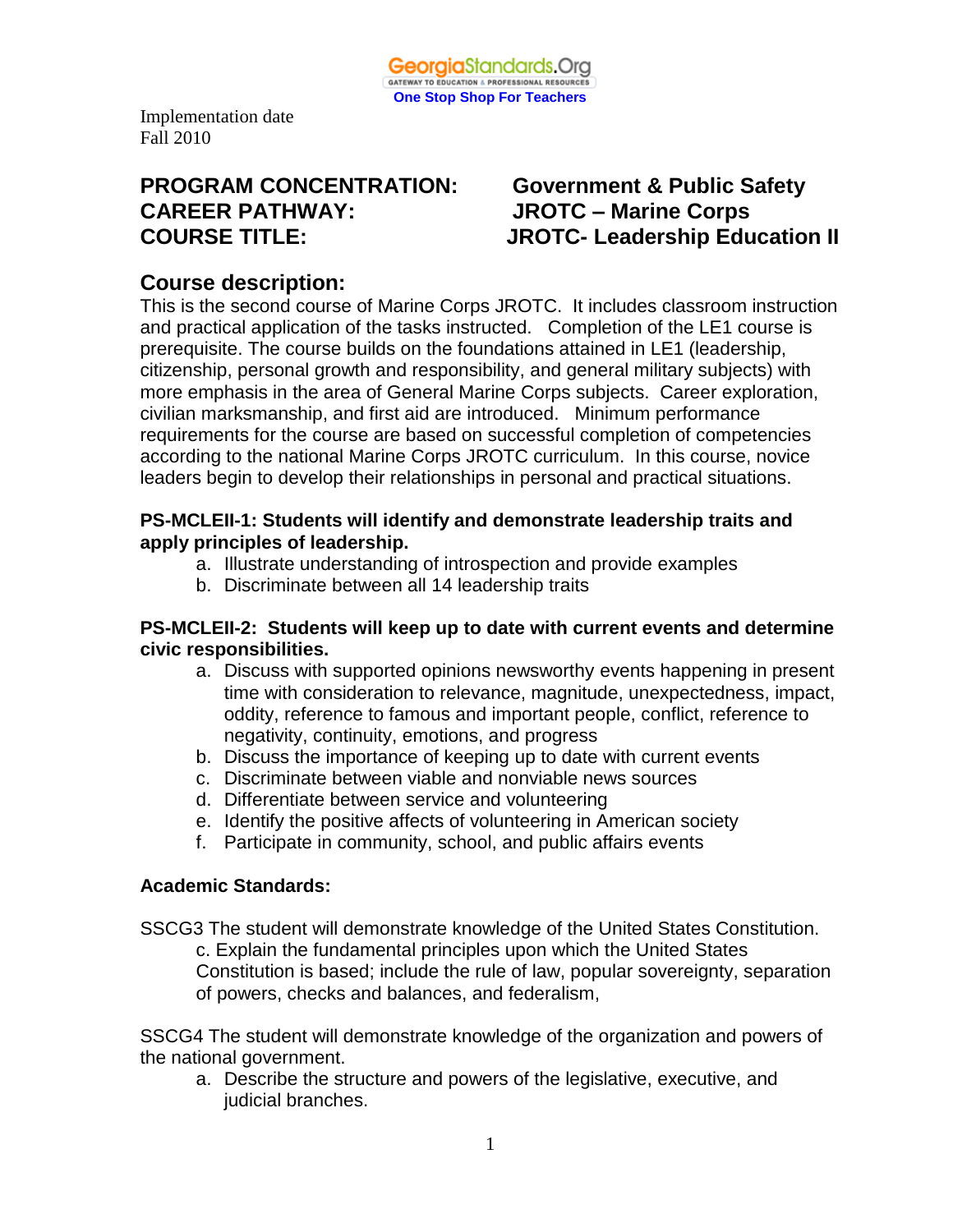

# **PROGRAM CONCENTRATION: Government & Public Safety CAREER PATHWAY: JROTC – Marine Corps**

# **COURSE TITLE: JROTC- Leadership Education II**

### **Course description:**

This is the second course of Marine Corps JROTC. It includes classroom instruction and practical application of the tasks instructed. Completion of the LE1 course is prerequisite. The course builds on the foundations attained in LE1 (leadership, citizenship, personal growth and responsibility, and general military subjects) with more emphasis in the area of General Marine Corps subjects. Career exploration, civilian marksmanship, and first aid are introduced. Minimum performance requirements for the course are based on successful completion of competencies according to the national Marine Corps JROTC curriculum. In this course, novice leaders begin to develop their relationships in personal and practical situations.

#### **PS-MCLEII-1: Students will identify and demonstrate leadership traits and apply principles of leadership.**

- a. Illustrate understanding of introspection and provide examples
- b. Discriminate between all 14 leadership traits

#### **PS-MCLEII-2: Students will keep up to date with current events and determine civic responsibilities.**

- a. Discuss with supported opinions newsworthy events happening in present time with consideration to relevance, magnitude, unexpectedness, impact, oddity, reference to famous and important people, conflict, reference to negativity, continuity, emotions, and progress
- b. Discuss the importance of keeping up to date with current events
- c. Discriminate between viable and nonviable news sources
- d. Differentiate between service and volunteering
- e. Identify the positive affects of volunteering in American society
- f. Participate in community, school, and public affairs events

#### **Academic Standards:**

SSCG3 The student will demonstrate knowledge of the United States Constitution. c. Explain the fundamental principles upon which the United States Constitution is based; include the rule of law, popular sovereignty, separation of powers, checks and balances, and federalism,

SSCG4 The student will demonstrate knowledge of the organization and powers of the national government.

a. Describe the structure and powers of the legislative, executive, and judicial branches.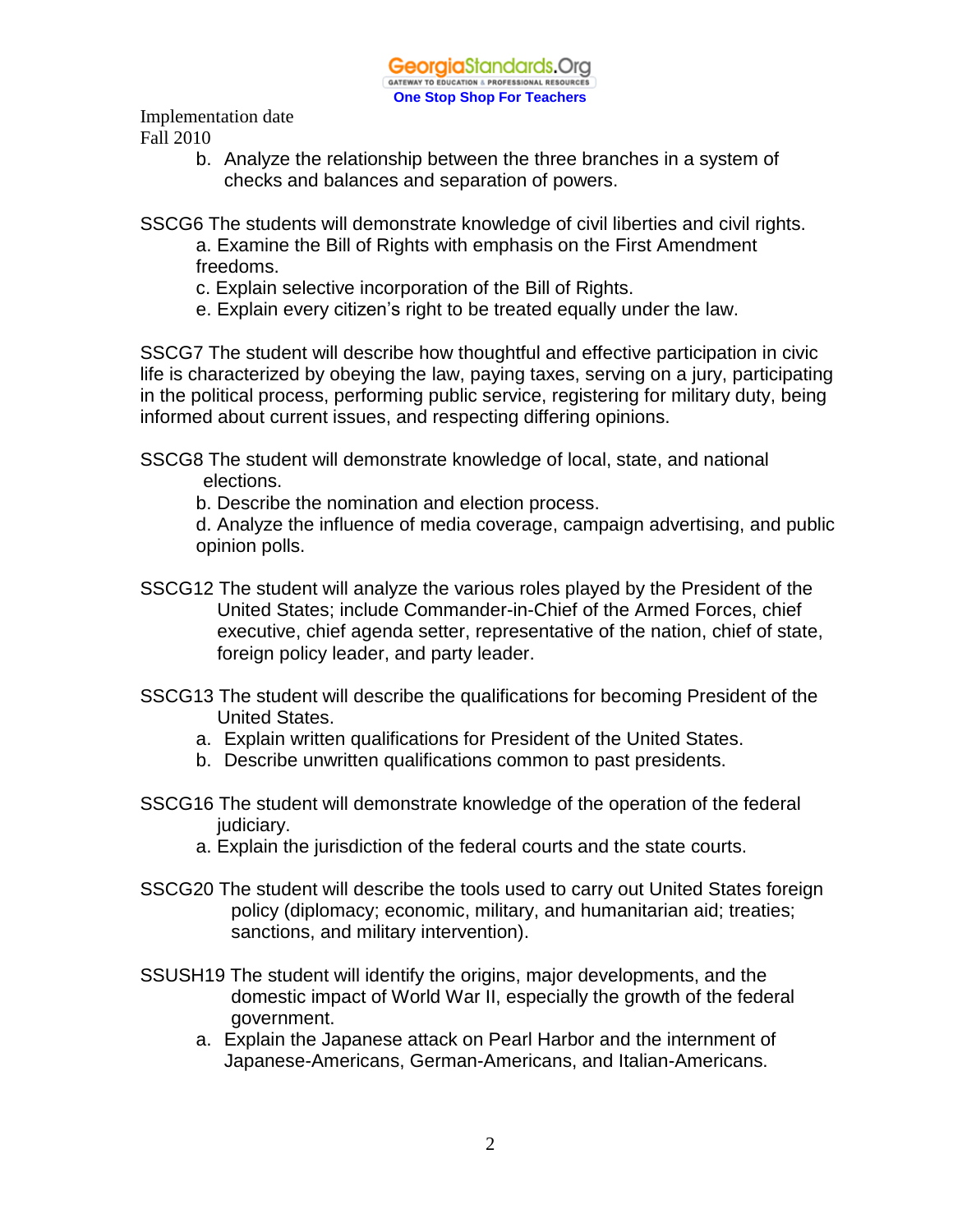> b. Analyze the relationship between the three branches in a system of checks and balances and separation of powers.

SSCG6 The students will demonstrate knowledge of civil liberties and civil rights.

- a. Examine the Bill of Rights with emphasis on the First Amendment freedoms.
- c. Explain selective incorporation of the Bill of Rights.
- e. Explain every citizen's right to be treated equally under the law.

SSCG7 The student will describe how thoughtful and effective participation in civic life is characterized by obeying the law, paying taxes, serving on a jury, participating in the political process, performing public service, registering for military duty, being informed about current issues, and respecting differing opinions.

SSCG8 The student will demonstrate knowledge of local, state, and national elections.

b. Describe the nomination and election process.

d. Analyze the influence of media coverage, campaign advertising, and public opinion polls.

- SSCG12 The student will analyze the various roles played by the President of the United States; include Commander-in-Chief of the Armed Forces, chief executive, chief agenda setter, representative of the nation, chief of state, foreign policy leader, and party leader.
- SSCG13 The student will describe the qualifications for becoming President of the United States.
	- a. Explain written qualifications for President of the United States.
	- b. Describe unwritten qualifications common to past presidents.
- SSCG16 The student will demonstrate knowledge of the operation of the federal judiciary.
	- a. Explain the jurisdiction of the federal courts and the state courts.
- SSCG20 The student will describe the tools used to carry out United States foreign policy (diplomacy; economic, military, and humanitarian aid; treaties; sanctions, and military intervention).
- SSUSH19 The student will identify the origins, major developments, and the domestic impact of World War II, especially the growth of the federal government.
	- a. Explain the Japanese attack on Pearl Harbor and the internment of Japanese-Americans, German-Americans, and Italian-Americans.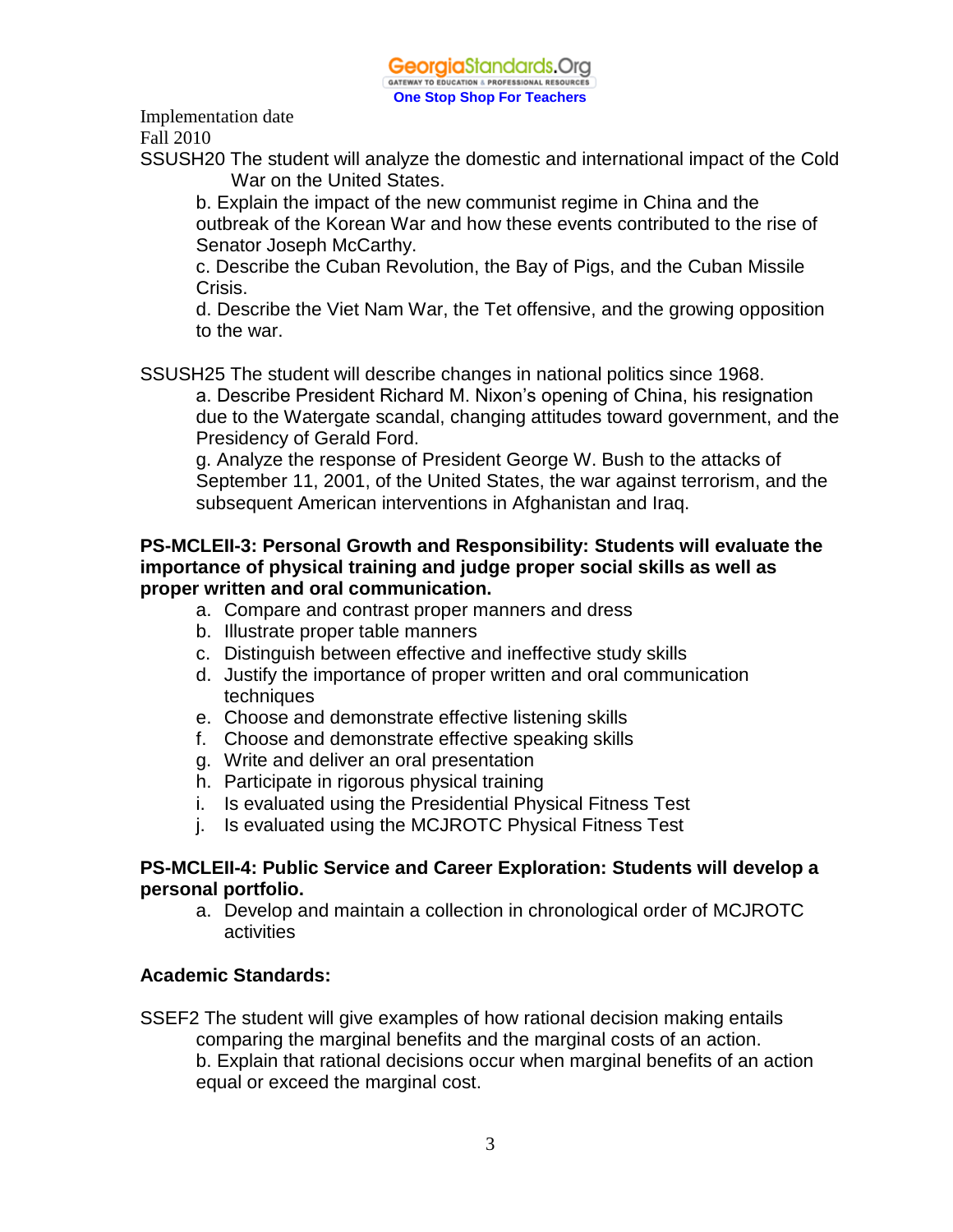

Implementation date

Fall 2010

SSUSH20 The student will analyze the domestic and international impact of the Cold War on the United States.

b. Explain the impact of the new communist regime in China and the outbreak of the Korean War and how these events contributed to the rise of Senator Joseph McCarthy.

c. Describe the Cuban Revolution, the Bay of Pigs, and the Cuban Missile Crisis.

d. Describe the Viet Nam War, the Tet offensive, and the growing opposition to the war.

SSUSH25 The student will describe changes in national politics since 1968.

a. Describe President Richard M. Nixon's opening of China, his resignation due to the Watergate scandal, changing attitudes toward government, and the Presidency of Gerald Ford.

g. Analyze the response of President George W. Bush to the attacks of September 11, 2001, of the United States, the war against terrorism, and the subsequent American interventions in Afghanistan and Iraq.

#### **PS-MCLEII-3: Personal Growth and Responsibility: Students will evaluate the importance of physical training and judge proper social skills as well as proper written and oral communication.**

- a. Compare and contrast proper manners and dress
- b. Illustrate proper table manners
- c. Distinguish between effective and ineffective study skills
- d. Justify the importance of proper written and oral communication techniques
- e. Choose and demonstrate effective listening skills
- f. Choose and demonstrate effective speaking skills
- g. Write and deliver an oral presentation
- h. Participate in rigorous physical training
- i. Is evaluated using the Presidential Physical Fitness Test
- j. Is evaluated using the MCJROTC Physical Fitness Test

#### **PS-MCLEII-4: Public Service and Career Exploration: Students will develop a personal portfolio.**

a. Develop and maintain a collection in chronological order of MCJROTC activities

#### **Academic Standards:**

SSEF2 The student will give examples of how rational decision making entails comparing the marginal benefits and the marginal costs of an action. b. Explain that rational decisions occur when marginal benefits of an action equal or exceed the marginal cost.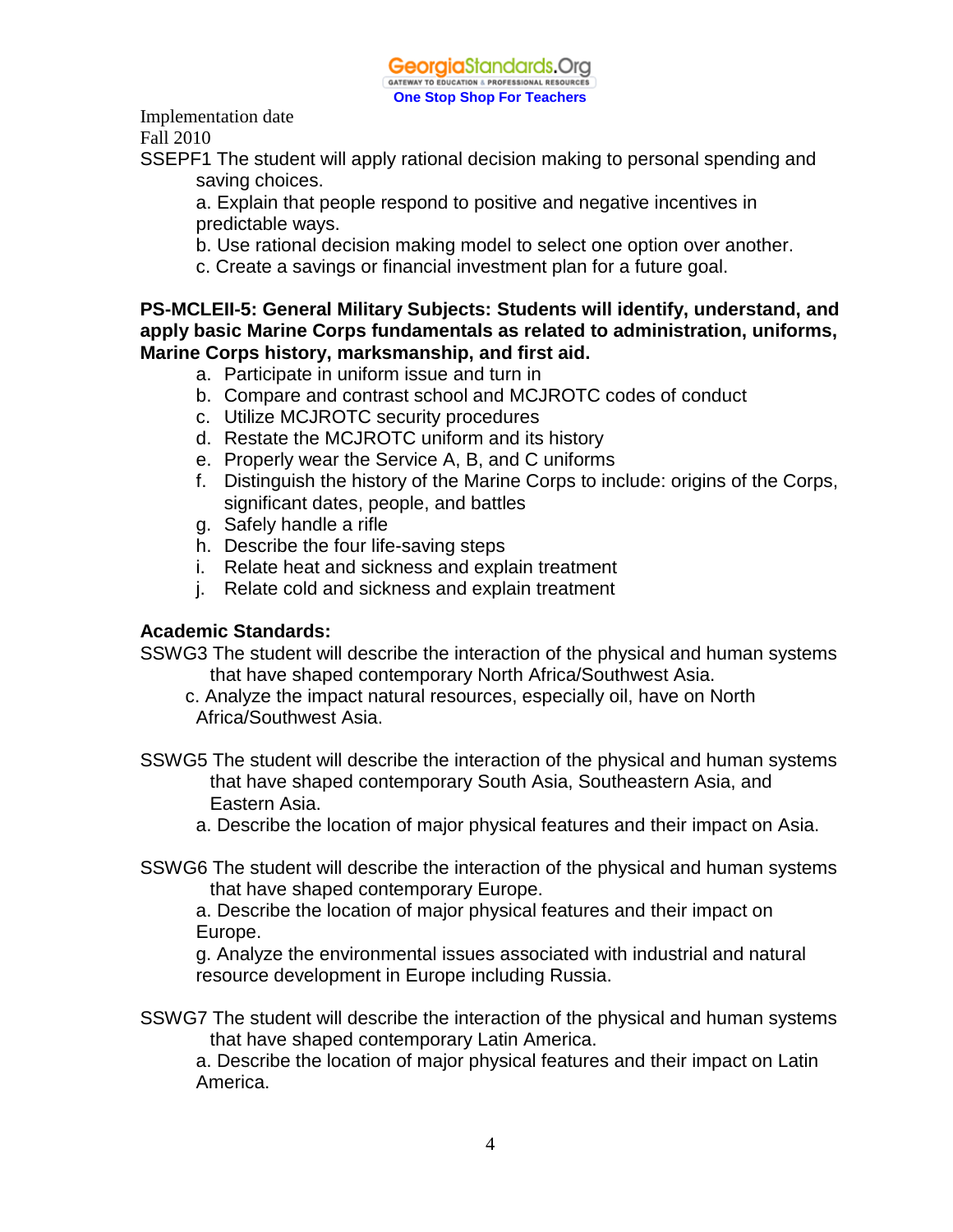

Implementation date

Fall 2010

SSEPF1 The student will apply rational decision making to personal spending and saving choices.

a. Explain that people respond to positive and negative incentives in predictable ways.

- b. Use rational decision making model to select one option over another.
- c. Create a savings or financial investment plan for a future goal.

#### **PS-MCLEII-5: General Military Subjects: Students will identify, understand, and apply basic Marine Corps fundamentals as related to administration, uniforms, Marine Corps history, marksmanship, and first aid.**

- a. Participate in uniform issue and turn in
- b. Compare and contrast school and MCJROTC codes of conduct
- c. Utilize MCJROTC security procedures
- d. Restate the MCJROTC uniform and its history
- e. Properly wear the Service A, B, and C uniforms
- f. Distinguish the history of the Marine Corps to include: origins of the Corps, significant dates, people, and battles
- g. Safely handle a rifle
- h. Describe the four life-saving steps
- i. Relate heat and sickness and explain treatment
- j. Relate cold and sickness and explain treatment

#### **Academic Standards:**

- SSWG3 The student will describe the interaction of the physical and human systems that have shaped contemporary North Africa/Southwest Asia.
	- c. Analyze the impact natural resources, especially oil, have on North Africa/Southwest Asia.
- SSWG5 The student will describe the interaction of the physical and human systems that have shaped contemporary South Asia, Southeastern Asia, and Eastern Asia.
	- a. Describe the location of major physical features and their impact on Asia.
- SSWG6 The student will describe the interaction of the physical and human systems that have shaped contemporary Europe.

a. Describe the location of major physical features and their impact on Europe.

g. Analyze the environmental issues associated with industrial and natural resource development in Europe including Russia.

SSWG7 The student will describe the interaction of the physical and human systems that have shaped contemporary Latin America.

a. Describe the location of major physical features and their impact on Latin America.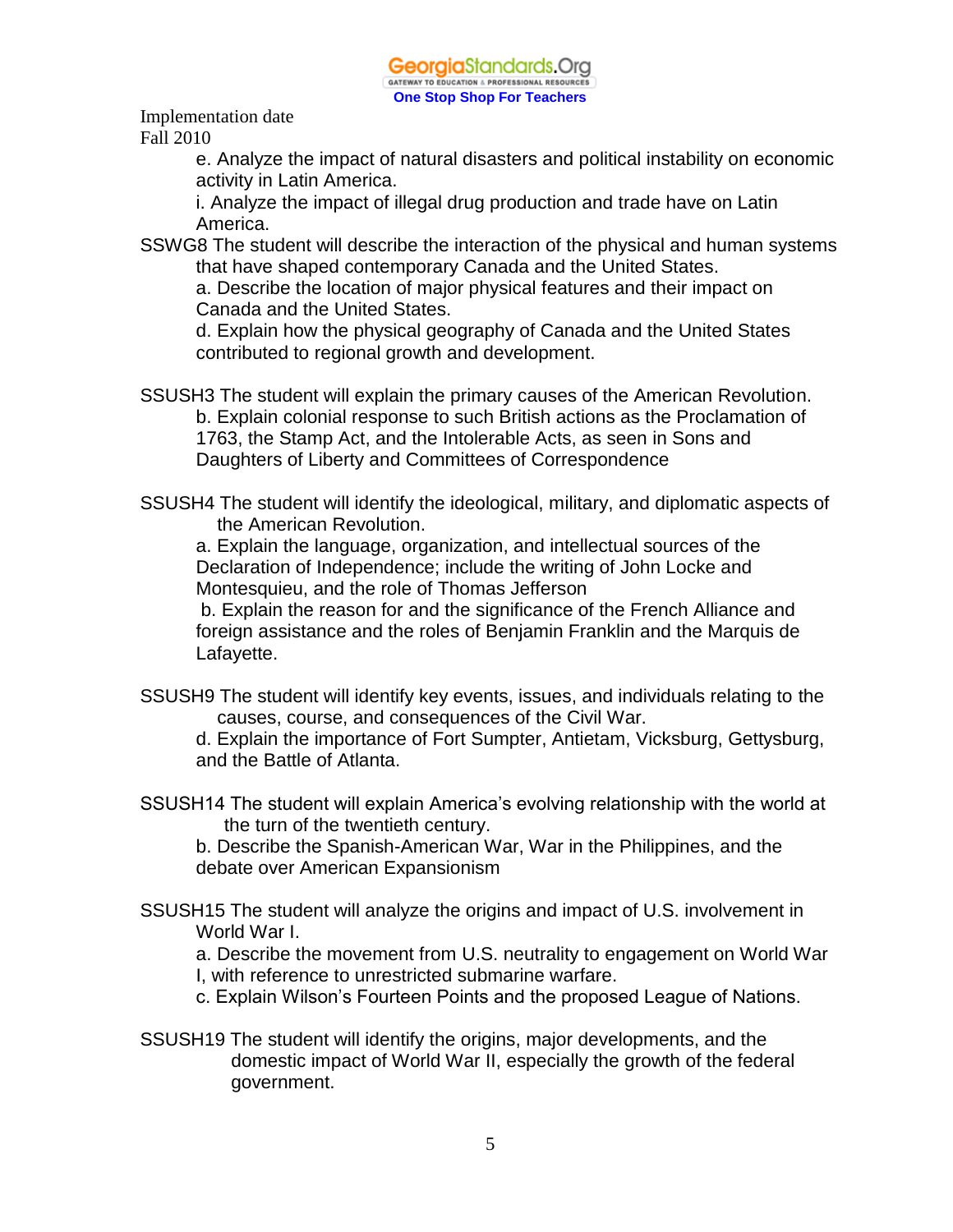

> e. Analyze the impact of natural disasters and political instability on economic activity in Latin America.

i. Analyze the impact of illegal drug production and trade have on Latin America.

SSWG8 The student will describe the interaction of the physical and human systems that have shaped contemporary Canada and the United States.

a. Describe the location of major physical features and their impact on Canada and the United States.

d. Explain how the physical geography of Canada and the United States contributed to regional growth and development.

- SSUSH3 The student will explain the primary causes of the American Revolution. b. Explain colonial response to such British actions as the Proclamation of 1763, the Stamp Act, and the Intolerable Acts, as seen in Sons and Daughters of Liberty and Committees of Correspondence
- SSUSH4 The student will identify the ideological, military, and diplomatic aspects of the American Revolution.

a. Explain the language, organization, and intellectual sources of the Declaration of Independence; include the writing of John Locke and Montesquieu, and the role of Thomas Jefferson

 b. Explain the reason for and the significance of the French Alliance and foreign assistance and the roles of Benjamin Franklin and the Marquis de Lafayette.

SSUSH9 The student will identify key events, issues, and individuals relating to the causes, course, and consequences of the Civil War.

d. Explain the importance of Fort Sumpter, Antietam, Vicksburg, Gettysburg, and the Battle of Atlanta.

SSUSH14 The student will explain America's evolving relationship with the world at the turn of the twentieth century.

b. Describe the Spanish-American War, War in the Philippines, and the debate over American Expansionism

SSUSH15 The student will analyze the origins and impact of U.S. involvement in World War I.

a. Describe the movement from U.S. neutrality to engagement on World War I, with reference to unrestricted submarine warfare.

- c. Explain Wilson's Fourteen Points and the proposed League of Nations.
- SSUSH19 The student will identify the origins, major developments, and the domestic impact of World War II, especially the growth of the federal government.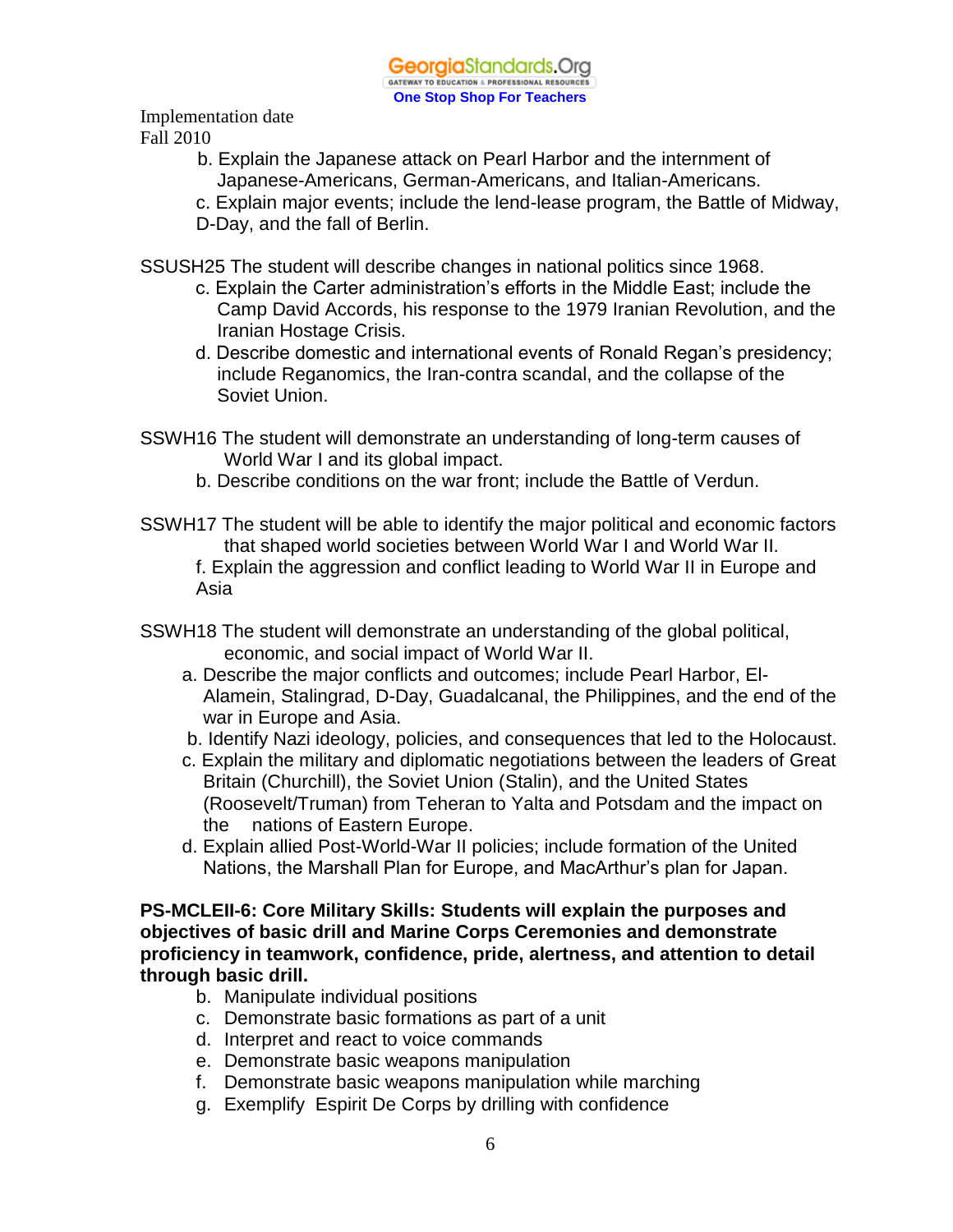- b. Explain the Japanese attack on Pearl Harbor and the internment of Japanese-Americans, German-Americans, and Italian-Americans.
- c. Explain major events; include the lend-lease program, the Battle of Midway, D-Day, and the fall of Berlin.

SSUSH25 The student will describe changes in national politics since 1968.

- c. Explain the Carter administration's efforts in the Middle East; include the Camp David Accords, his response to the 1979 Iranian Revolution, and the Iranian Hostage Crisis.
- d. Describe domestic and international events of Ronald Regan's presidency; include Reganomics, the Iran-contra scandal, and the collapse of the Soviet Union.
- SSWH16 The student will demonstrate an understanding of long-term causes of World War I and its global impact.
	- b. Describe conditions on the war front; include the Battle of Verdun.
- SSWH17 The student will be able to identify the major political and economic factors that shaped world societies between World War I and World War II.

f. Explain the aggression and conflict leading to World War II in Europe and Asia

- SSWH18 The student will demonstrate an understanding of the global political, economic, and social impact of World War II.
	- a. Describe the major conflicts and outcomes; include Pearl Harbor, El-Alamein, Stalingrad, D-Day, Guadalcanal, the Philippines, and the end of the war in Europe and Asia.
	- b. Identify Nazi ideology, policies, and consequences that led to the Holocaust.
	- c. Explain the military and diplomatic negotiations between the leaders of Great Britain (Churchill), the Soviet Union (Stalin), and the United States (Roosevelt/Truman) from Teheran to Yalta and Potsdam and the impact on the nations of Eastern Europe.
	- d. Explain allied Post-World-War II policies; include formation of the United Nations, the Marshall Plan for Europe, and MacArthur's plan for Japan.

**PS-MCLEII-6: Core Military Skills: Students will explain the purposes and objectives of basic drill and Marine Corps Ceremonies and demonstrate proficiency in teamwork, confidence, pride, alertness, and attention to detail through basic drill.**

- b. Manipulate individual positions
- c. Demonstrate basic formations as part of a unit
- d. Interpret and react to voice commands
- e. Demonstrate basic weapons manipulation
- f. Demonstrate basic weapons manipulation while marching
- g. Exemplify Espirit De Corps by drilling with confidence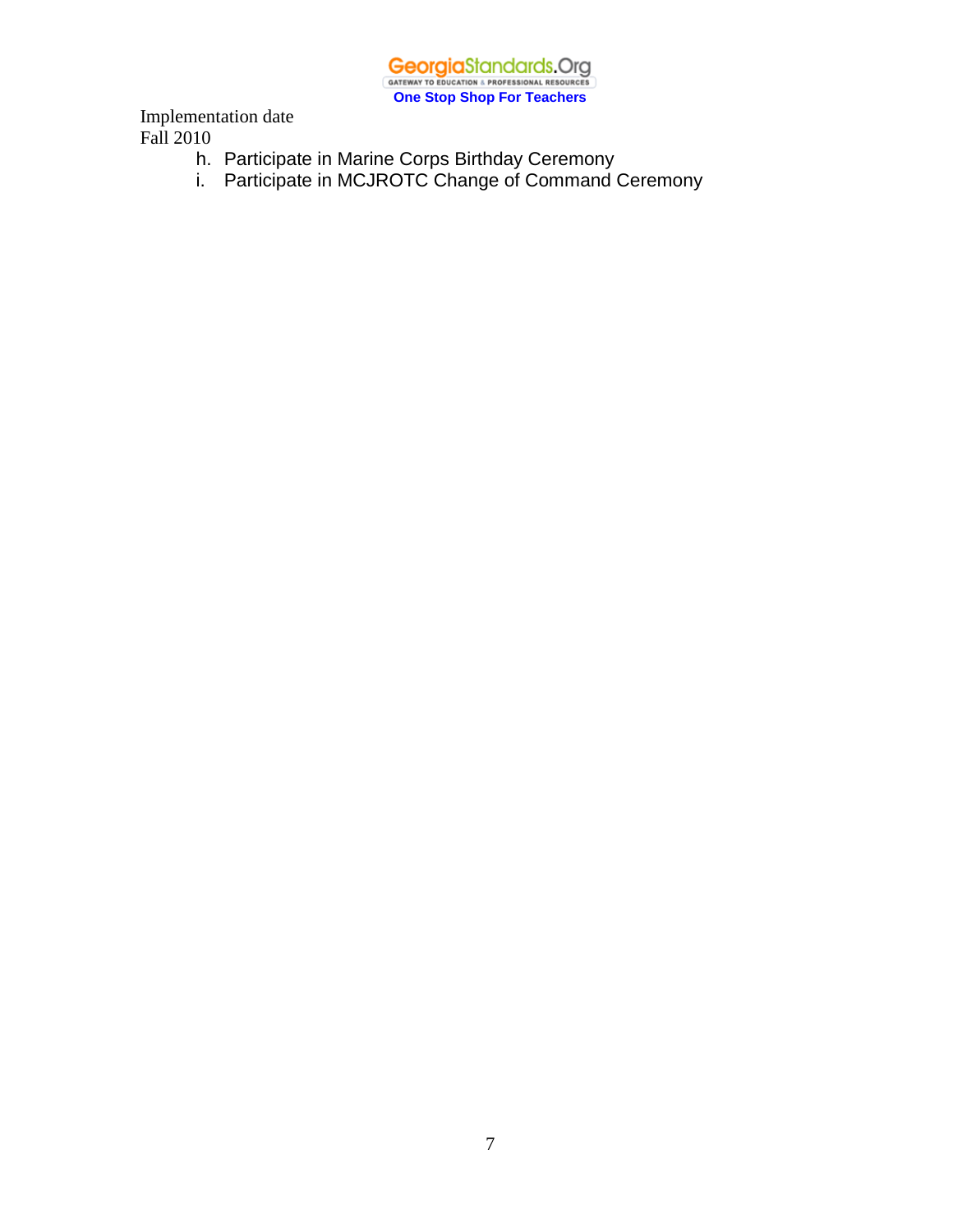**GeorgiaStandards.Org**<br>
GATEWAY TO EDUCATION & PROFESSIONAL RESOURCES **One Stop Shop For Teachers**

Implementation date Fall 2010

- h. Participate in Marine Corps Birthday Ceremony
- i. Participate in MCJROTC Change of Command Ceremony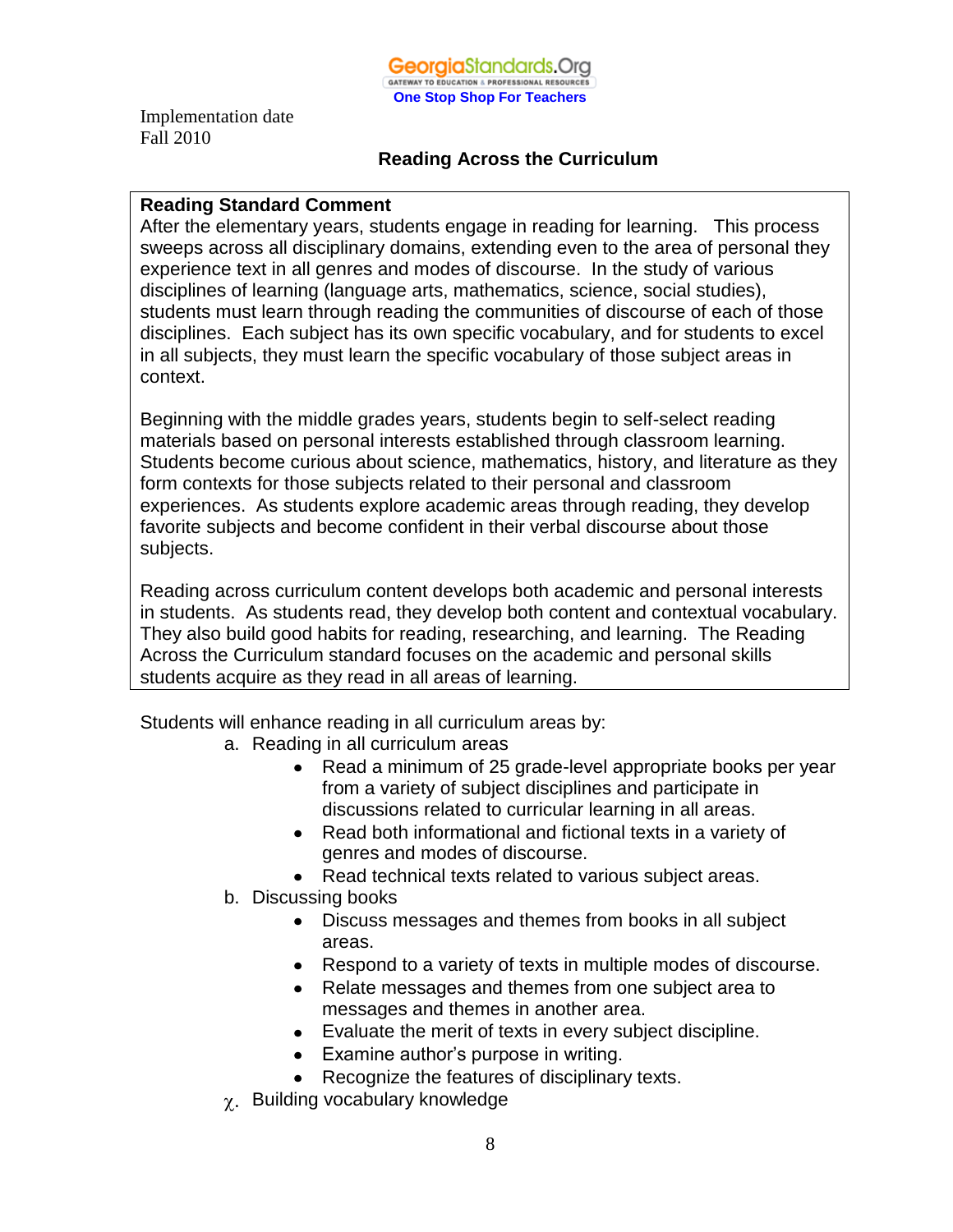

#### **Reading Across the Curriculum**

#### **Reading Standard Comment**

After the elementary years, students engage in reading for learning. This process sweeps across all disciplinary domains, extending even to the area of personal they experience text in all genres and modes of discourse. In the study of various disciplines of learning (language arts, mathematics, science, social studies), students must learn through reading the communities of discourse of each of those disciplines. Each subject has its own specific vocabulary, and for students to excel in all subjects, they must learn the specific vocabulary of those subject areas in context.

Beginning with the middle grades years, students begin to self-select reading materials based on personal interests established through classroom learning. Students become curious about science, mathematics, history, and literature as they form contexts for those subjects related to their personal and classroom experiences. As students explore academic areas through reading, they develop favorite subjects and become confident in their verbal discourse about those subjects.

Reading across curriculum content develops both academic and personal interests in students. As students read, they develop both content and contextual vocabulary. They also build good habits for reading, researching, and learning. The Reading Across the Curriculum standard focuses on the academic and personal skills students acquire as they read in all areas of learning.

Students will enhance reading in all curriculum areas by:

- a. Reading in all curriculum areas
	- Read a minimum of 25 grade-level appropriate books per year from a variety of subject disciplines and participate in discussions related to curricular learning in all areas.
	- Read both informational and fictional texts in a variety of genres and modes of discourse.
	- Read technical texts related to various subject areas.
- b. Discussing books
	- Discuss messages and themes from books in all subject areas.
	- Respond to a variety of texts in multiple modes of discourse.
	- Relate messages and themes from one subject area to messages and themes in another area.
	- Evaluate the merit of texts in every subject discipline.
	- Examine author's purpose in writing.
	- Recognize the features of disciplinary texts.
- $\chi$ . Building vocabulary knowledge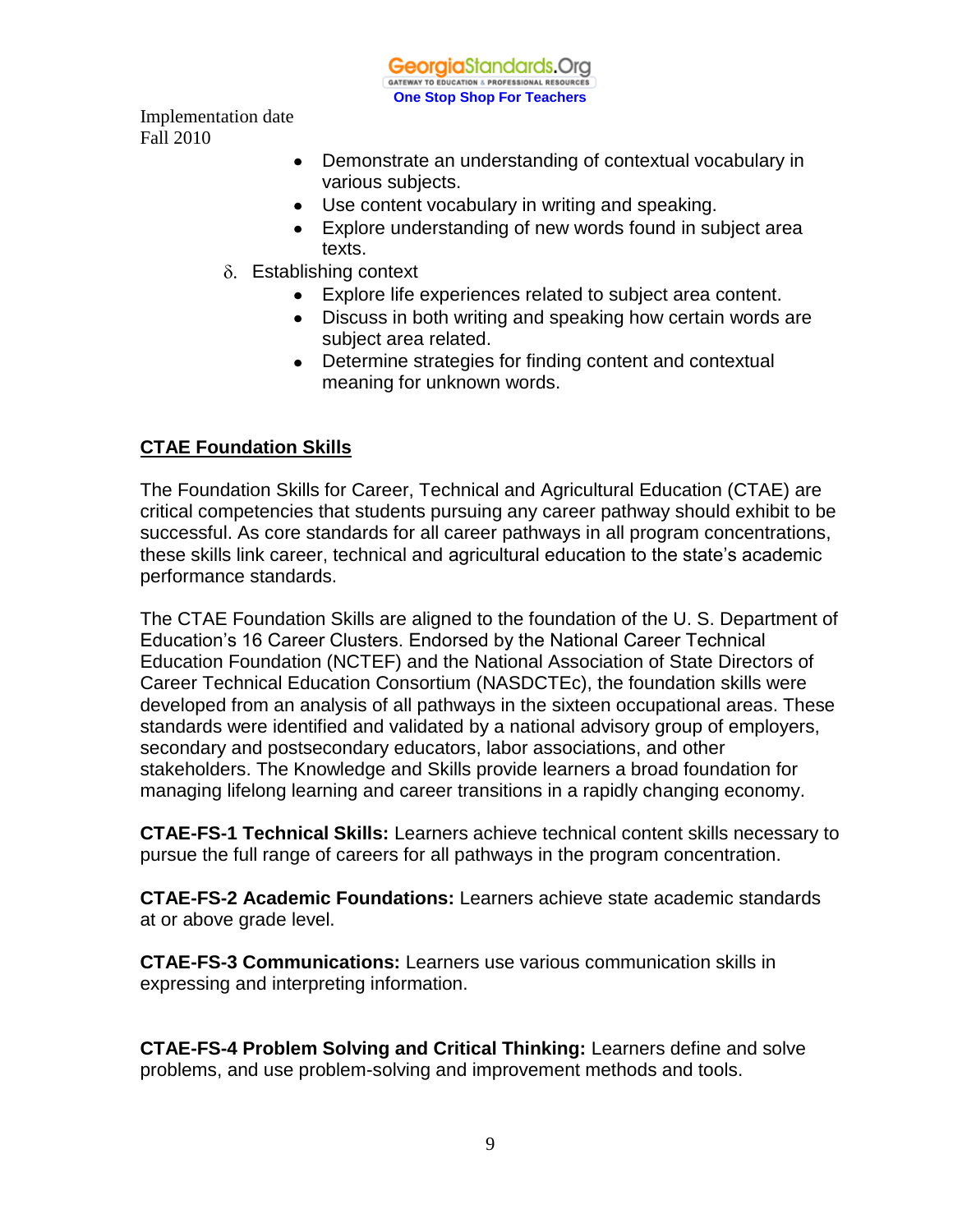**Georgia**Standards.Org GATEWAY TO EDUCATION & PROFESSIONAL RESOURC **One Stop Shop For Teachers**

Implementation date Fall 2010

- Demonstrate an understanding of contextual vocabulary in various subjects.
- Use content vocabulary in writing and speaking.
- Explore understanding of new words found in subject area texts.
- $\delta$ . Establishing context
	- Explore life experiences related to subject area content.
	- Discuss in both writing and speaking how certain words are subject area related.
	- Determine strategies for finding content and contextual meaning for unknown words.

## **CTAE Foundation Skills**

The Foundation Skills for Career, Technical and Agricultural Education (CTAE) are critical competencies that students pursuing any career pathway should exhibit to be successful. As core standards for all career pathways in all program concentrations, these skills link career, technical and agricultural education to the state's academic performance standards.

The CTAE Foundation Skills are aligned to the foundation of the U. S. Department of Education's 16 Career Clusters. Endorsed by the National Career Technical Education Foundation (NCTEF) and the National Association of State Directors of Career Technical Education Consortium (NASDCTEc), the foundation skills were developed from an analysis of all pathways in the sixteen occupational areas. These standards were identified and validated by a national advisory group of employers, secondary and postsecondary educators, labor associations, and other stakeholders. The Knowledge and Skills provide learners a broad foundation for managing lifelong learning and career transitions in a rapidly changing economy.

**CTAE-FS-1 Technical Skills:** Learners achieve technical content skills necessary to pursue the full range of careers for all pathways in the program concentration.

**CTAE-FS-2 Academic Foundations:** Learners achieve state academic standards at or above grade level.

**CTAE-FS-3 Communications:** Learners use various communication skills in expressing and interpreting information.

**CTAE-FS-4 Problem Solving and Critical Thinking:** Learners define and solve problems, and use problem-solving and improvement methods and tools.